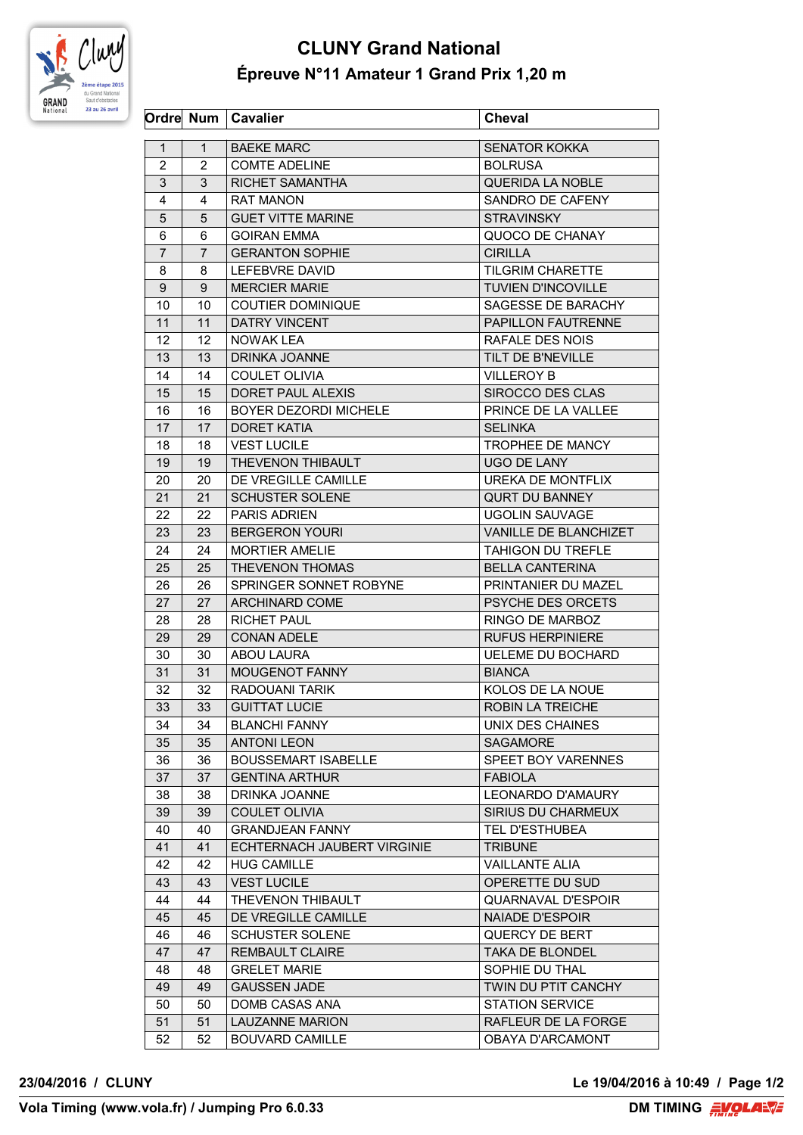

## **CLUNY Grand National Épreuve N°11 Amateur 1 Grand Prix 1,20 m**

|                |                | Ordre Num   Cavalier        | <b>Cheval</b>             |
|----------------|----------------|-----------------------------|---------------------------|
| $\mathbf{1}$   | $\mathbf{1}$   | <b>BAEKE MARC</b>           | <b>SENATOR KOKKA</b>      |
| $\overline{2}$ | 2              | <b>COMTE ADELINE</b>        | <b>BOLRUSA</b>            |
| 3              | 3              | RICHET SAMANTHA             | <b>QUERIDA LA NOBLE</b>   |
| 4              | 4              | <b>RAT MANON</b>            | SANDRO DE CAFENY          |
| 5              | 5              | <b>GUET VITTE MARINE</b>    | <b>STRAVINSKY</b>         |
| 6              | 6              | <b>GOIRAN EMMA</b>          | QUOCO DE CHANAY           |
| $\overline{7}$ | $\overline{7}$ | <b>GERANTON SOPHIE</b>      | <b>CIRILLA</b>            |
| 8              | 8              | LEFEBVRE DAVID              | <b>TILGRIM CHARETTE</b>   |
| 9              | 9              | <b>MERCIER MARIE</b>        | <b>TUVIEN D'INCOVILLE</b> |
| 10             | 10             | <b>COUTIER DOMINIQUE</b>    | SAGESSE DE BARACHY        |
| 11             | 11             | DATRY VINCENT               | PAPILLON FAUTRENNE        |
| 12             | 12             | <b>NOWAK LEA</b>            | RAFALE DES NOIS           |
| 13             | 13             | DRINKA JOANNE               | TILT DE B'NEVILLE         |
| 14             | 14             | <b>COULET OLIVIA</b>        | <b>VILLEROY B</b>         |
| 15             | 15             | DORET PAUL ALEXIS           | SIROCCO DES CLAS          |
| 16             | 16             | BOYER DEZORDI MICHELE       | PRINCE DE LA VALLEE       |
| 17             | 17             | <b>DORET KATIA</b>          | <b>SELINKA</b>            |
| 18             | 18             | <b>VEST LUCILE</b>          | TROPHEE DE MANCY          |
| 19             | 19             | THEVENON THIBAULT           | UGO DE LANY               |
| 20             | 20             | DE VREGILLE CAMILLE         | UREKA DE MONTFLIX         |
| 21             | 21             | <b>SCHUSTER SOLENE</b>      | <b>QURT DU BANNEY</b>     |
| 22             | 22             | <b>PARIS ADRIEN</b>         | <b>UGOLIN SAUVAGE</b>     |
| 23             | 23             | <b>BERGERON YOURI</b>       | VANILLE DE BLANCHIZET     |
| 24             | 24             | <b>MORTIER AMELIE</b>       | <b>TAHIGON DU TREFLE</b>  |
| 25             | 25             | THEVENON THOMAS             | <b>BELLA CANTERINA</b>    |
| 26             | 26             | SPRINGER SONNET ROBYNE      | PRINTANIER DU MAZEL       |
| 27             | 27             | <b>ARCHINARD COME</b>       | PSYCHE DES ORCETS         |
| 28             | 28             | <b>RICHET PAUL</b>          | RINGO DE MARBOZ           |
| 29             | 29             | <b>CONAN ADELE</b>          | <b>RUFUS HERPINIERE</b>   |
| 30             | 30             | <b>ABOU LAURA</b>           | <b>UELEME DU BOCHARD</b>  |
| 31             | 31             | MOUGENOT FANNY              | <b>BIANCA</b>             |
| 32             | 32             | RADOUANI TARIK              | KOLOS DE LA NOUE          |
| 33             | 33             | <b>GUITTAT LUCIE</b>        | ROBIN LA TREICHE          |
| 34             | 34             | <b>BLANCHI FANNY</b>        | UNIX DES CHAINES          |
| 35             | 35             | <b>ANTONI LEON</b>          | <b>SAGAMORE</b>           |
| 36             | 36             | <b>BOUSSEMART ISABELLE</b>  | SPEET BOY VARENNES        |
| 37             | 37             | <b>GENTINA ARTHUR</b>       | <b>FABIOLA</b>            |
| 38             | 38             | DRINKA JOANNE               | LEONARDO D'AMAURY         |
| 39             | 39             | <b>COULET OLIVIA</b>        | SIRIUS DU CHARMEUX        |
| 40             | 40             | <b>GRANDJEAN FANNY</b>      | TEL D'ESTHUBEA            |
| 41             | 41             | ECHTERNACH JAUBERT VIRGINIE | <b>TRIBUNE</b>            |
| 42             | 42             | <b>HUG CAMILLE</b>          | <b>VAILLANTE ALIA</b>     |
| 43             | 43             | <b>VEST LUCILE</b>          | OPERETTE DU SUD           |
| 44             | 44             | THEVENON THIBAULT           | <b>QUARNAVAL D'ESPOIR</b> |
| 45             | 45             | DE VREGILLE CAMILLE         | <b>NAIADE D'ESPOIR</b>    |
| 46             | 46             | <b>SCHUSTER SOLENE</b>      | QUERCY DE BERT            |
| 47             | 47             | <b>REMBAULT CLAIRE</b>      | <b>TAKA DE BLONDEL</b>    |
| 48             | 48             | <b>GRELET MARIE</b>         | SOPHIE DU THAL            |
| 49             | 49             | <b>GAUSSEN JADE</b>         | TWIN DU PTIT CANCHY       |
| 50             | 50             | DOMB CASAS ANA              | <b>STATION SERVICE</b>    |
| 51             | 51             | <b>LAUZANNE MARION</b>      | RAFLEUR DE LA FORGE       |
| 52             | 52             | <b>BOUVARD CAMILLE</b>      | OBAYA D'ARCAMONT          |
|                |                |                             |                           |

**23/04/2016 / CLUNY Le 19/04/2016 à 10:49 / Page 1/2**